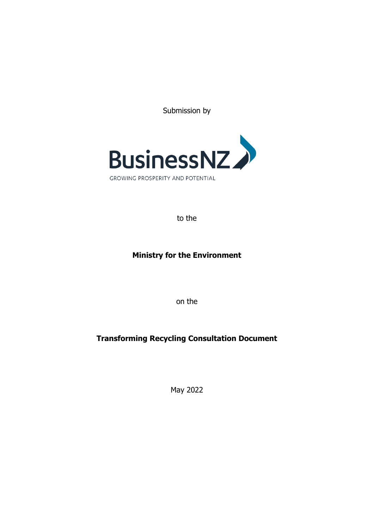Submission by



to the

# **Ministry for the Environment**

on the

# **Transforming Recycling Consultation Document**

May 2022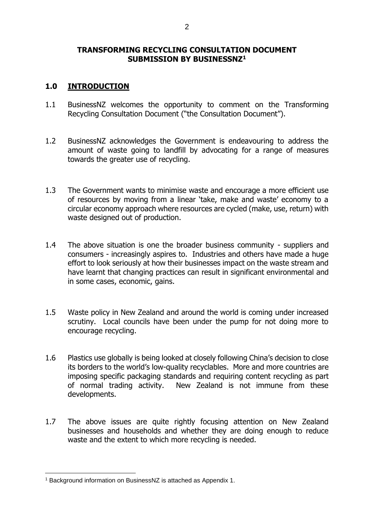#### **TRANSFORMING RECYCLING CONSULTATION DOCUMENT SUBMISSION BY BUSINESSNZ<sup>1</sup>**

### **1.0 INTRODUCTION**

- 1.1 BusinessNZ welcomes the opportunity to comment on the Transforming Recycling Consultation Document ("the Consultation Document").
- 1.2 BusinessNZ acknowledges the Government is endeavouring to address the amount of waste going to landfill by advocating for a range of measures towards the greater use of recycling.
- 1.3 The Government wants to minimise waste and encourage a more efficient use of resources by moving from a linear 'take, make and waste' economy to a circular economy approach where resources are cycled (make, use, return) with waste designed out of production.
- 1.4 The above situation is one the broader business community suppliers and consumers - increasingly aspires to. Industries and others have made a huge effort to look seriously at how their businesses impact on the waste stream and have learnt that changing practices can result in significant environmental and in some cases, economic, gains.
- 1.5 Waste policy in New Zealand and around the world is coming under increased scrutiny. Local councils have been under the pump for not doing more to encourage recycling.
- 1.6 Plastics use globally is being looked at closely following China's decision to close its borders to the world's low-quality recyclables. More and more countries are imposing specific packaging standards and requiring content recycling as part of normal trading activity. New Zealand is not immune from these developments.
- 1.7 The above issues are quite rightly focusing attention on New Zealand businesses and households and whether they are doing enough to reduce waste and the extent to which more recycling is needed.

<sup>1</sup> Background information on BusinessNZ is attached as Appendix 1.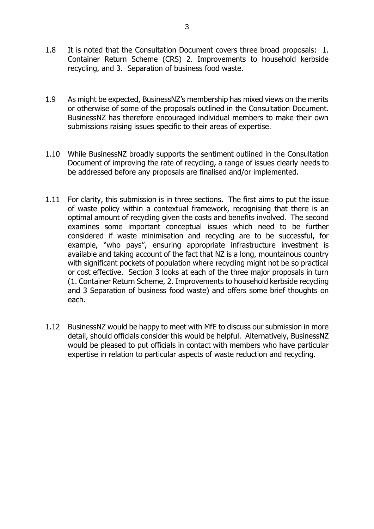- 1.8 It is noted that the Consultation Document covers three broad proposals: 1. Container Return Scheme (CRS) 2. Improvements to household kerbside recycling, and 3. Separation of business food waste.
- 1.9 As might be expected, BusinessNZ's membership has mixed views on the merits or otherwise of some of the proposals outlined in the Consultation Document. BusinessNZ has therefore encouraged individual members to make their own submissions raising issues specific to their areas of expertise.
- 1.10 While BusinessNZ broadly supports the sentiment outlined in the Consultation Document of improving the rate of recycling, a range of issues clearly needs to be addressed before any proposals are finalised and/or implemented.
- 1.11 For clarity, this submission is in three sections. The first aims to put the issue of waste policy within a contextual framework, recognising that there is an optimal amount of recycling given the costs and benefits involved. The second examines some important conceptual issues which need to be further considered if waste minimisation and recycling are to be successful, for example, "who pays", ensuring appropriate infrastructure investment is available and taking account of the fact that NZ is a long, mountainous country with significant pockets of population where recycling might not be so practical or cost effective. Section 3 looks at each of the three major proposals in turn (1. Container Return Scheme, 2. Improvements to household kerbside recycling and 3 Separation of business food waste) and offers some brief thoughts on each.
- 1.12 BusinessNZ would be happy to meet with MfE to discuss our submission in more detail, should officials consider this would be helpful. Alternatively, BusinessNZ would be pleased to put officials in contact with members who have particular expertise in relation to particular aspects of waste reduction and recycling.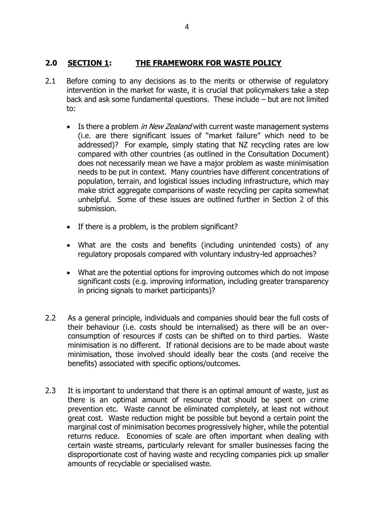### **2.0 SECTION 1: THE FRAMEWORK FOR WASTE POLICY**

- 2.1 Before coming to any decisions as to the merits or otherwise of regulatory intervention in the market for waste, it is crucial that policymakers take a step back and ask some fundamental questions. These include – but are not limited to:
	- Is there a problem *in New Zealand* with current waste management systems (i.e. are there significant issues of "market failure" which need to be addressed)? For example, simply stating that NZ recycling rates are low compared with other countries (as outlined in the Consultation Document) does not necessarily mean we have a major problem as waste minimisation needs to be put in context. Many countries have different concentrations of population, terrain, and logistical issues including infrastructure, which may make strict aggregate comparisons of waste recycling per capita somewhat unhelpful. Some of these issues are outlined further in Section 2 of this submission.
	- If there is a problem, is the problem significant?
	- What are the costs and benefits (including unintended costs) of any regulatory proposals compared with voluntary industry-led approaches?
	- What are the potential options for improving outcomes which do not impose significant costs (e.g. improving information, including greater transparency in pricing signals to market participants)?
- 2.2 As a general principle, individuals and companies should bear the full costs of their behaviour (i.e. costs should be internalised) as there will be an overconsumption of resources if costs can be shifted on to third parties. Waste minimisation is no different. If rational decisions are to be made about waste minimisation, those involved should ideally bear the costs (and receive the benefits) associated with specific options/outcomes.
- 2.3 It is important to understand that there is an optimal amount of waste, just as there is an optimal amount of resource that should be spent on crime prevention etc. Waste cannot be eliminated completely, at least not without great cost. Waste reduction might be possible but beyond a certain point the marginal cost of minimisation becomes progressively higher, while the potential returns reduce. Economies of scale are often important when dealing with certain waste streams, particularly relevant for smaller businesses facing the disproportionate cost of having waste and recycling companies pick up smaller amounts of recyclable or specialised waste.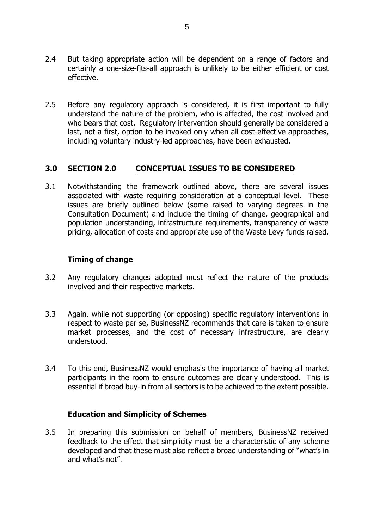- 2.4 But taking appropriate action will be dependent on a range of factors and certainly a one-size-fits-all approach is unlikely to be either efficient or cost effective.
- 2.5 Before any regulatory approach is considered, it is first important to fully understand the nature of the problem, who is affected, the cost involved and who bears that cost. Regulatory intervention should generally be considered a last, not a first, option to be invoked only when all cost-effective approaches, including voluntary industry-led approaches, have been exhausted.

### **3.0 SECTION 2.0 CONCEPTUAL ISSUES TO BE CONSIDERED**

3.1 Notwithstanding the framework outlined above, there are several issues associated with waste requiring consideration at a conceptual level. These issues are briefly outlined below (some raised to varying degrees in the Consultation Document) and include the timing of change, geographical and population understanding, infrastructure requirements, transparency of waste pricing, allocation of costs and appropriate use of the Waste Levy funds raised.

### **Timing of change**

- 3.2 Any regulatory changes adopted must reflect the nature of the products involved and their respective markets.
- 3.3 Again, while not supporting (or opposing) specific regulatory interventions in respect to waste per se, BusinessNZ recommends that care is taken to ensure market processes, and the cost of necessary infrastructure, are clearly understood.
- 3.4 To this end, BusinessNZ would emphasis the importance of having all market participants in the room to ensure outcomes are clearly understood. This is essential if broad buy-in from all sectors is to be achieved to the extent possible.

### **Education and Simplicity of Schemes**

3.5 In preparing this submission on behalf of members, BusinessNZ received feedback to the effect that simplicity must be a characteristic of any scheme developed and that these must also reflect a broad understanding of "what's in and what's not".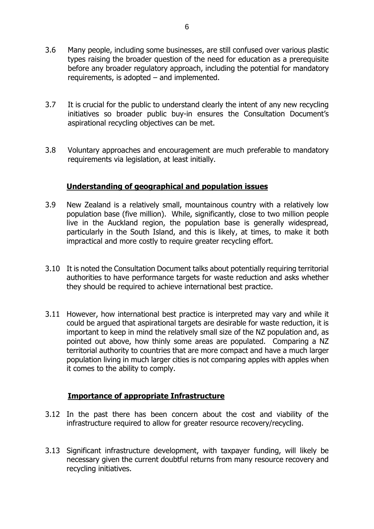- 3.6 Many people, including some businesses, are still confused over various plastic types raising the broader question of the need for education as a prerequisite before any broader regulatory approach, including the potential for mandatory requirements, is adopted – and implemented.
- 3.7 It is crucial for the public to understand clearly the intent of any new recycling initiatives so broader public buy-in ensures the Consultation Document's aspirational recycling objectives can be met.
- 3.8 Voluntary approaches and encouragement are much preferable to mandatory requirements via legislation, at least initially.

#### **Understanding of geographical and population issues**

- 3.9 New Zealand is a relatively small, mountainous country with a relatively low population base (five million). While, significantly, close to two million people live in the Auckland region, the population base is generally widespread, particularly in the South Island, and this is likely, at times, to make it both impractical and more costly to require greater recycling effort.
- 3.10 It is noted the Consultation Document talks about potentially requiring territorial authorities to have performance targets for waste reduction and asks whether they should be required to achieve international best practice.
- 3.11 However, how international best practice is interpreted may vary and while it could be argued that aspirational targets are desirable for waste reduction, it is important to keep in mind the relatively small size of the NZ population and, as pointed out above, how thinly some areas are populated. Comparing a NZ territorial authority to countries that are more compact and have a much larger population living in much larger cities is not comparing apples with apples when it comes to the ability to comply.

### **Importance of appropriate Infrastructure**

- 3.12 In the past there has been concern about the cost and viability of the infrastructure required to allow for greater resource recovery/recycling.
- 3.13 Significant infrastructure development, with taxpayer funding, will likely be necessary given the current doubtful returns from many resource recovery and recycling initiatives.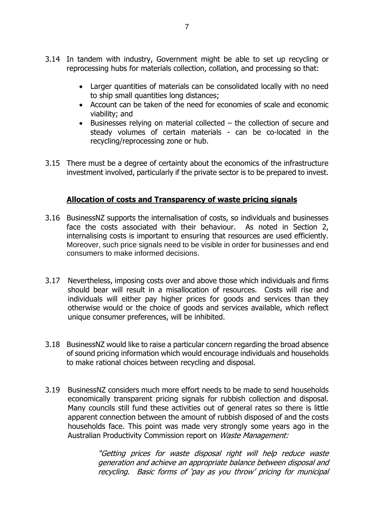- 3.14 In tandem with industry, Government might be able to set up recycling or reprocessing hubs for materials collection, collation, and processing so that:
	- Larger quantities of materials can be consolidated locally with no need to ship small quantities long distances;
	- Account can be taken of the need for economies of scale and economic viability; and
	- Businesses relying on material collected the collection of secure and steady volumes of certain materials - can be co-located in the recycling/reprocessing zone or hub.
- 3.15 There must be a degree of certainty about the economics of the infrastructure investment involved, particularly if the private sector is to be prepared to invest.

### **Allocation of costs and Transparency of waste pricing signals**

- 3.16 BusinessNZ supports the internalisation of costs, so individuals and businesses face the costs associated with their behaviour. As noted in Section 2, internalising costs is important to ensuring that resources are used efficiently. Moreover, such price signals need to be visible in order for businesses and end consumers to make informed decisions.
- 3.17 Nevertheless, imposing costs over and above those which individuals and firms should bear will result in a misallocation of resources. Costs will rise and individuals will either pay higher prices for goods and services than they otherwise would or the choice of goods and services available, which reflect unique consumer preferences, will be inhibited.
- 3.18 BusinessNZ would like to raise a particular concern regarding the broad absence of sound pricing information which would encourage individuals and households to make rational choices between recycling and disposal.
- 3.19 BusinessNZ considers much more effort needs to be made to send households economically transparent pricing signals for rubbish collection and disposal. Many councils still fund these activities out of general rates so there is little apparent connection between the amount of rubbish disposed of and the costs households face. This point was made very strongly some years ago in the Australian Productivity Commission report on Waste Management:

"Getting prices for waste disposal right will help reduce waste generation and achieve an appropriate balance between disposal and recycling. Basic forms of 'pay as you throw' pricing for municipal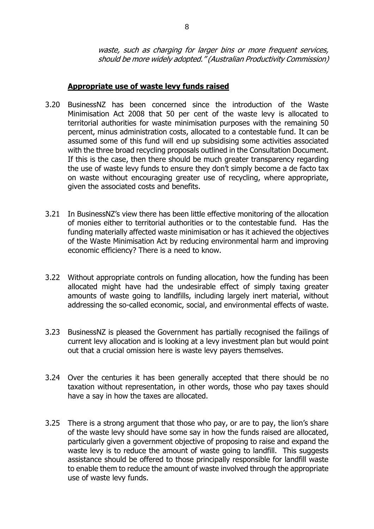waste, such as charging for larger bins or more frequent services, should be more widely adopted." (Australian Productivity Commission)

#### **Appropriate use of waste levy funds raised**

- 3.20 BusinessNZ has been concerned since the introduction of the Waste Minimisation Act 2008 that 50 per cent of the waste levy is allocated to territorial authorities for waste minimisation purposes with the remaining 50 percent, minus administration costs, allocated to a contestable fund. It can be assumed some of this fund will end up subsidising some activities associated with the three broad recycling proposals outlined in the Consultation Document. If this is the case, then there should be much greater transparency regarding the use of waste levy funds to ensure they don't simply become a de facto tax on waste without encouraging greater use of recycling, where appropriate, given the associated costs and benefits.
- 3.21 In BusinessNZ's view there has been little effective monitoring of the allocation of monies either to territorial authorities or to the contestable fund. Has the funding materially affected waste minimisation or has it achieved the objectives of the Waste Minimisation Act by reducing environmental harm and improving economic efficiency? There is a need to know.
- 3.22 Without appropriate controls on funding allocation, how the funding has been allocated might have had the undesirable effect of simply taxing greater amounts of waste going to landfills, including largely inert material, without addressing the so-called economic, social, and environmental effects of waste.
- 3.23 BusinessNZ is pleased the Government has partially recognised the failings of current levy allocation and is looking at a levy investment plan but would point out that a crucial omission here is waste levy payers themselves.
- 3.24 Over the centuries it has been generally accepted that there should be no taxation without representation, in other words, those who pay taxes should have a say in how the taxes are allocated.
- 3.25 There is a strong argument that those who pay, or are to pay, the lion's share of the waste levy should have some say in how the funds raised are allocated, particularly given a government objective of proposing to raise and expand the waste levy is to reduce the amount of waste going to landfill. This suggests assistance should be offered to those principally responsible for landfill waste to enable them to reduce the amount of waste involved through the appropriate use of waste levy funds.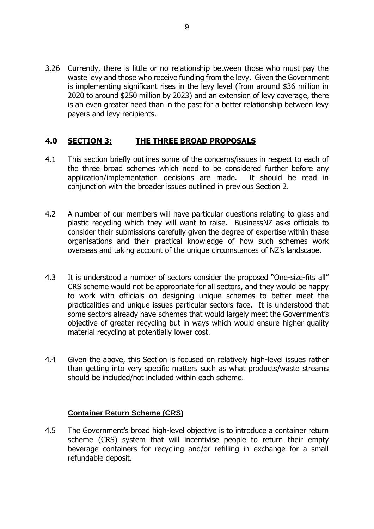3.26 Currently, there is little or no relationship between those who must pay the waste levy and those who receive funding from the levy. Given the Government is implementing significant rises in the levy level (from around \$36 million in 2020 to around \$250 million by 2023) and an extension of levy coverage, there is an even greater need than in the past for a better relationship between levy payers and levy recipients.

### **4.0 SECTION 3: THE THREE BROAD PROPOSALS**

- 4.1 This section briefly outlines some of the concerns/issues in respect to each of the three broad schemes which need to be considered further before any application/implementation decisions are made. It should be read in conjunction with the broader issues outlined in previous Section 2.
- 4.2 A number of our members will have particular questions relating to glass and plastic recycling which they will want to raise. BusinessNZ asks officials to consider their submissions carefully given the degree of expertise within these organisations and their practical knowledge of how such schemes work overseas and taking account of the unique circumstances of NZ's landscape.
- 4.3 It is understood a number of sectors consider the proposed "One-size-fits all" CRS scheme would not be appropriate for all sectors, and they would be happy to work with officials on designing unique schemes to better meet the practicalities and unique issues particular sectors face. It is understood that some sectors already have schemes that would largely meet the Government's objective of greater recycling but in ways which would ensure higher quality material recycling at potentially lower cost.
- 4.4 Given the above, this Section is focused on relatively high-level issues rather than getting into very specific matters such as what products/waste streams should be included/not included within each scheme.

### **Container Return Scheme (CRS)**

4.5 The Government's broad high-level objective is to introduce a container return scheme (CRS) system that will incentivise people to return their empty beverage containers for recycling and/or refilling in exchange for a small refundable deposit.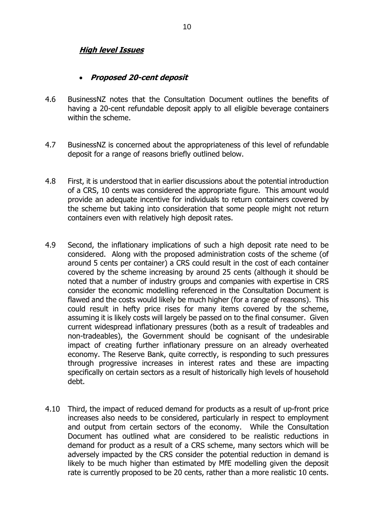### **High level Issues**

#### • **Proposed 20-cent deposit**

- 4.6 BusinessNZ notes that the Consultation Document outlines the benefits of having a 20-cent refundable deposit apply to all eligible beverage containers within the scheme.
- 4.7 BusinessNZ is concerned about the appropriateness of this level of refundable deposit for a range of reasons briefly outlined below.
- 4.8 First, it is understood that in earlier discussions about the potential introduction of a CRS, 10 cents was considered the appropriate figure. This amount would provide an adequate incentive for individuals to return containers covered by the scheme but taking into consideration that some people might not return containers even with relatively high deposit rates.
- 4.9 Second, the inflationary implications of such a high deposit rate need to be considered. Along with the proposed administration costs of the scheme (of around 5 cents per container) a CRS could result in the cost of each container covered by the scheme increasing by around 25 cents (although it should be noted that a number of industry groups and companies with expertise in CRS consider the economic modelling referenced in the Consultation Document is flawed and the costs would likely be much higher (for a range of reasons). This could result in hefty price rises for many items covered by the scheme, assuming it is likely costs will largely be passed on to the final consumer. Given current widespread inflationary pressures (both as a result of tradeables and non-tradeables), the Government should be cognisant of the undesirable impact of creating further inflationary pressure on an already overheated economy. The Reserve Bank, quite correctly, is responding to such pressures through progressive increases in interest rates and these are impacting specifically on certain sectors as a result of historically high levels of household debt.
- 4.10 Third, the impact of reduced demand for products as a result of up-front price increases also needs to be considered, particularly in respect to employment and output from certain sectors of the economy. While the Consultation Document has outlined what are considered to be realistic reductions in demand for product as a result of a CRS scheme, many sectors which will be adversely impacted by the CRS consider the potential reduction in demand is likely to be much higher than estimated by MfE modelling given the deposit rate is currently proposed to be 20 cents, rather than a more realistic 10 cents.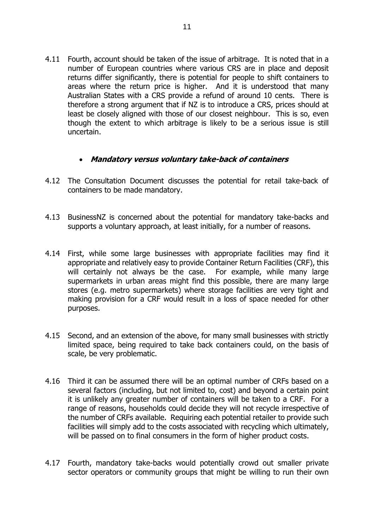4.11 Fourth, account should be taken of the issue of arbitrage. It is noted that in a number of European countries where various CRS are in place and deposit returns differ significantly, there is potential for people to shift containers to areas where the return price is higher. And it is understood that many Australian States with a CRS provide a refund of around 10 cents. There is therefore a strong argument that if NZ is to introduce a CRS, prices should at least be closely aligned with those of our closest neighbour. This is so, even though the extent to which arbitrage is likely to be a serious issue is still uncertain.

### • **Mandatory versus voluntary take-back of containers**

- 4.12 The Consultation Document discusses the potential for retail take-back of containers to be made mandatory.
- 4.13 BusinessNZ is concerned about the potential for mandatory take-backs and supports a voluntary approach, at least initially, for a number of reasons.
- 4.14 First, while some large businesses with appropriate facilities may find it appropriate and relatively easy to provide Container Return Facilities (CRF), this will certainly not always be the case. For example, while many large supermarkets in urban areas might find this possible, there are many large stores (e.g. metro supermarkets) where storage facilities are very tight and making provision for a CRF would result in a loss of space needed for other purposes.
- 4.15 Second, and an extension of the above, for many small businesses with strictly limited space, being required to take back containers could, on the basis of scale, be very problematic.
- 4.16 Third it can be assumed there will be an optimal number of CRFs based on a several factors (including, but not limited to, cost) and beyond a certain point it is unlikely any greater number of containers will be taken to a CRF. For a range of reasons, households could decide they will not recycle irrespective of the number of CRFs available. Requiring each potential retailer to provide such facilities will simply add to the costs associated with recycling which ultimately, will be passed on to final consumers in the form of higher product costs.
- 4.17 Fourth, mandatory take-backs would potentially crowd out smaller private sector operators or community groups that might be willing to run their own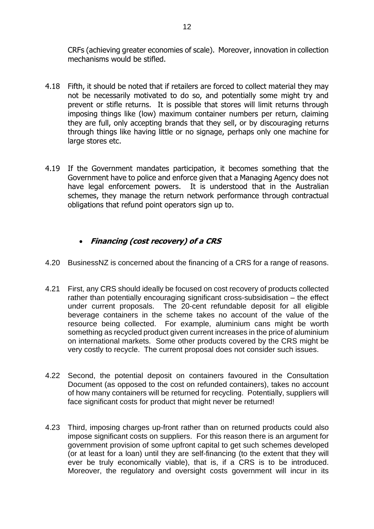CRFs (achieving greater economies of scale). Moreover, innovation in collection mechanisms would be stifled.

- 4.18 Fifth, it should be noted that if retailers are forced to collect material they may not be necessarily motivated to do so, and potentially some might try and prevent or stifle returns. It is possible that stores will limit returns through imposing things like (low) maximum container numbers per return, claiming they are full, only accepting brands that they sell, or by discouraging returns through things like having little or no signage, perhaps only one machine for large stores etc.
- 4.19 If the Government mandates participation, it becomes something that the Government have to police and enforce given that a Managing Agency does not have legal enforcement powers. It is understood that in the Australian schemes, they manage the return network performance through contractual obligations that refund point operators sign up to.

## • **Financing (cost recovery) of a CRS**

- 4.20 BusinessNZ is concerned about the financing of a CRS for a range of reasons.
- 4.21 First, any CRS should ideally be focused on cost recovery of products collected rather than potentially encouraging significant cross-subsidisation – the effect under current proposals. The 20-cent refundable deposit for all eligible beverage containers in the scheme takes no account of the value of the resource being collected. For example, aluminium cans might be worth something as recycled product given current increases in the price of aluminium on international markets. Some other products covered by the CRS might be very costly to recycle. The current proposal does not consider such issues.
- 4.22 Second, the potential deposit on containers favoured in the Consultation Document (as opposed to the cost on refunded containers), takes no account of how many containers will be returned for recycling. Potentially, suppliers will face significant costs for product that might never be returned!
- 4.23 Third, imposing charges up-front rather than on returned products could also impose significant costs on suppliers. For this reason there is an argument for government provision of some upfront capital to get such schemes developed (or at least for a loan) until they are self-financing (to the extent that they will ever be truly economically viable), that is, if a CRS is to be introduced. Moreover, the regulatory and oversight costs government will incur in its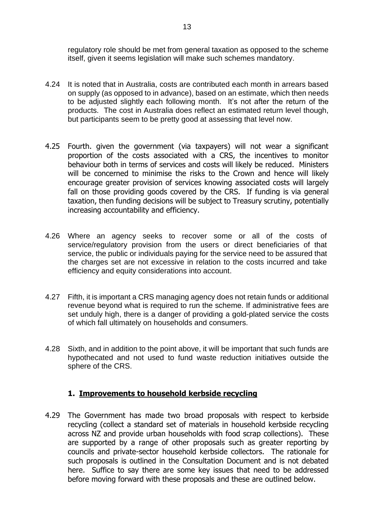regulatory role should be met from general taxation as opposed to the scheme itself, given it seems legislation will make such schemes mandatory.

- 4.24 It is noted that in Australia, costs are contributed each month in arrears based on supply (as opposed to in advance), based on an estimate, which then needs to be adjusted slightly each following month. It's not after the return of the products. The cost in Australia does reflect an estimated return level though, but participants seem to be pretty good at assessing that level now.
- 4.25 Fourth. given the government (via taxpayers) will not wear a significant proportion of the costs associated with a CRS, the incentives to monitor behaviour both in terms of services and costs will likely be reduced. Ministers will be concerned to minimise the risks to the Crown and hence will likely encourage greater provision of services knowing associated costs will largely fall on those providing goods covered by the CRS. If funding is via general taxation, then funding decisions will be subject to Treasury scrutiny, potentially increasing accountability and efficiency.
- 4.26 Where an agency seeks to recover some or all of the costs of service/regulatory provision from the users or direct beneficiaries of that service, the public or individuals paying for the service need to be assured that the charges set are not excessive in relation to the costs incurred and take efficiency and equity considerations into account.
- 4.27 Fifth, it is important a CRS managing agency does not retain funds or additional revenue beyond what is required to run the scheme. If administrative fees are set unduly high, there is a danger of providing a gold-plated service the costs of which fall ultimately on households and consumers.
- 4.28 Sixth, and in addition to the point above, it will be important that such funds are hypothecated and not used to fund waste reduction initiatives outside the sphere of the CRS.

### **1. Improvements to household kerbside recycling**

4.29 The Government has made two broad proposals with respect to kerbside recycling (collect a standard set of materials in household kerbside recycling across NZ and provide urban households with food scrap collections). These are supported by a range of other proposals such as greater reporting by councils and private-sector household kerbside collectors. The rationale for such proposals is outlined in the Consultation Document and is not debated here. Suffice to say there are some key issues that need to be addressed before moving forward with these proposals and these are outlined below.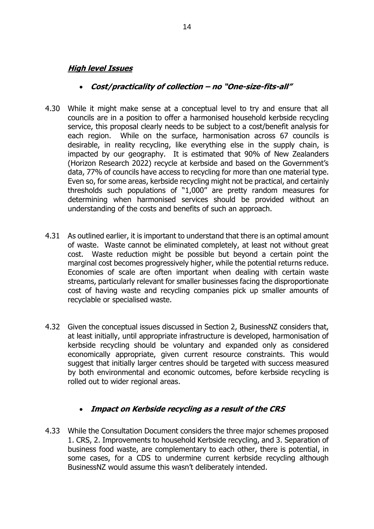#### **High level Issues**

#### • **Cost/practicality of collection – no "One-size-fits-all"**

- 4.30 While it might make sense at a conceptual level to try and ensure that all councils are in a position to offer a harmonised household kerbside recycling service, this proposal clearly needs to be subject to a cost/benefit analysis for each region. While on the surface, harmonisation across 67 councils is desirable, in reality recycling, like everything else in the supply chain, is impacted by our geography. It is estimated that 90% of New Zealanders (Horizon Research 2022) recycle at kerbside and based on the Government's data, 77% of councils have access to recycling for more than one material type. Even so, for some areas, kerbside recycling might not be practical, and certainly thresholds such populations of "1,000" are pretty random measures for determining when harmonised services should be provided without an understanding of the costs and benefits of such an approach.
- 4.31 As outlined earlier, it is important to understand that there is an optimal amount of waste. Waste cannot be eliminated completely, at least not without great cost. Waste reduction might be possible but beyond a certain point the marginal cost becomes progressively higher, while the potential returns reduce. Economies of scale are often important when dealing with certain waste streams, particularly relevant for smaller businesses facing the disproportionate cost of having waste and recycling companies pick up smaller amounts of recyclable or specialised waste.
- 4.32 Given the conceptual issues discussed in Section 2, BusinessNZ considers that, at least initially, until appropriate infrastructure is developed, harmonisation of kerbside recycling should be voluntary and expanded only as considered economically appropriate, given current resource constraints. This would suggest that initially larger centres should be targeted with success measured by both environmental and economic outcomes, before kerbside recycling is rolled out to wider regional areas.

### • **Impact on Kerbside recycling as a result of the CRS**

4.33 While the Consultation Document considers the three major schemes proposed 1. CRS, 2. Improvements to household Kerbside recycling, and 3. Separation of business food waste, are complementary to each other, there is potential, in some cases, for a CDS to undermine current kerbside recycling although BusinessNZ would assume this wasn't deliberately intended.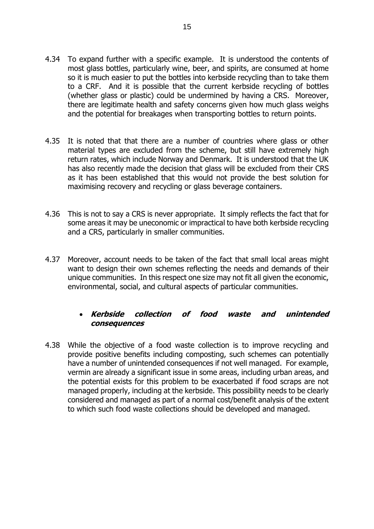- 4.34 To expand further with a specific example. It is understood the contents of most glass bottles, particularly wine, beer, and spirits, are consumed at home so it is much easier to put the bottles into kerbside recycling than to take them to a CRF. And it is possible that the current kerbside recycling of bottles (whether glass or plastic) could be undermined by having a CRS. Moreover, there are legitimate health and safety concerns given how much glass weighs and the potential for breakages when transporting bottles to return points.
- 4.35 It is noted that that there are a number of countries where glass or other material types are excluded from the scheme, but still have extremely high return rates, which include Norway and Denmark. It is understood that the UK has also recently made the decision that glass will be excluded from their CRS as it has been established that this would not provide the best solution for maximising recovery and recycling or glass beverage containers.
- 4.36 This is not to say a CRS is never appropriate. It simply reflects the fact that for some areas it may be uneconomic or impractical to have both kerbside recycling and a CRS, particularly in smaller communities.
- 4.37 Moreover, account needs to be taken of the fact that small local areas might want to design their own schemes reflecting the needs and demands of their unique communities. In this respect one size may not fit all given the economic, environmental, social, and cultural aspects of particular communities.

### • **Kerbside collection of food waste and unintended consequences**

4.38 While the objective of a food waste collection is to improve recycling and provide positive benefits including composting, such schemes can potentially have a number of unintended consequences if not well managed. For example, vermin are already a significant issue in some areas, including urban areas, and the potential exists for this problem to be exacerbated if food scraps are not managed properly, including at the kerbside. This possibility needs to be clearly considered and managed as part of a normal cost/benefit analysis of the extent to which such food waste collections should be developed and managed.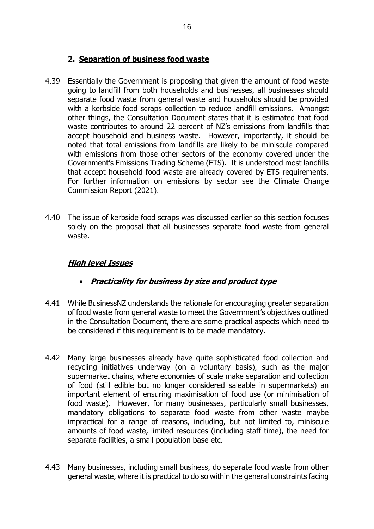## **2. Separation of business food waste**

- 4.39 Essentially the Government is proposing that given the amount of food waste going to landfill from both households and businesses, all businesses should separate food waste from general waste and households should be provided with a kerbside food scraps collection to reduce landfill emissions. Amongst other things, the Consultation Document states that it is estimated that food waste contributes to around 22 percent of NZ's emissions from landfills that accept household and business waste. However, importantly, it should be noted that total emissions from landfills are likely to be miniscule compared with emissions from those other sectors of the economy covered under the Government's Emissions Trading Scheme (ETS). It is understood most landfills that accept household food waste are already covered by ETS requirements. For further information on emissions by sector see the Climate Change Commission Report (2021).
- 4.40 The issue of kerbside food scraps was discussed earlier so this section focuses solely on the proposal that all businesses separate food waste from general waste.

# **High level Issues**

- **Practicality for business by size and product type**
- 4.41 While BusinessNZ understands the rationale for encouraging greater separation of food waste from general waste to meet the Government's objectives outlined in the Consultation Document, there are some practical aspects which need to be considered if this requirement is to be made mandatory.
- 4.42 Many large businesses already have quite sophisticated food collection and recycling initiatives underway (on a voluntary basis), such as the major supermarket chains, where economies of scale make separation and collection of food (still edible but no longer considered saleable in supermarkets) an important element of ensuring maximisation of food use (or minimisation of food waste). However, for many businesses, particularly small businesses, mandatory obligations to separate food waste from other waste maybe impractical for a range of reasons, including, but not limited to, miniscule amounts of food waste, limited resources (including staff time), the need for separate facilities, a small population base etc.
- 4.43 Many businesses, including small business, do separate food waste from other general waste, where it is practical to do so within the general constraints facing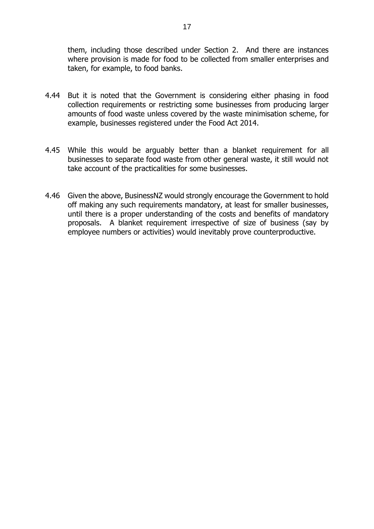them, including those described under Section 2. And there are instances where provision is made for food to be collected from smaller enterprises and taken, for example, to food banks.

- 4.44 But it is noted that the Government is considering either phasing in food collection requirements or restricting some businesses from producing larger amounts of food waste unless covered by the waste minimisation scheme, for example, businesses registered under the Food Act 2014.
- 4.45 While this would be arguably better than a blanket requirement for all businesses to separate food waste from other general waste, it still would not take account of the practicalities for some businesses.
- 4.46 Given the above, BusinessNZ would strongly encourage the Government to hold off making any such requirements mandatory, at least for smaller businesses, until there is a proper understanding of the costs and benefits of mandatory proposals. A blanket requirement irrespective of size of business (say by employee numbers or activities) would inevitably prove counterproductive.